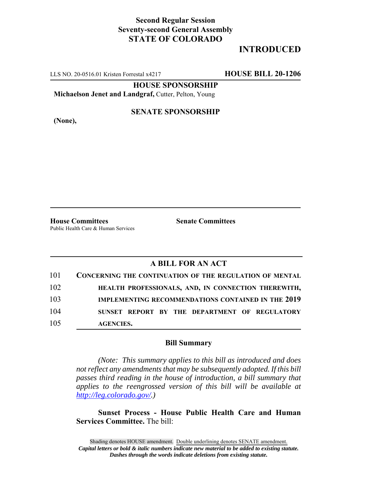## **Second Regular Session Seventy-second General Assembly STATE OF COLORADO**

## **INTRODUCED**

LLS NO. 20-0516.01 Kristen Forrestal x4217 **HOUSE BILL 20-1206**

**HOUSE SPONSORSHIP**

**Michaelson Jenet and Landgraf,** Cutter, Pelton, Young

**(None),**

#### **SENATE SPONSORSHIP**

**House Committees Senate Committees** Public Health Care & Human Services

### **A BILL FOR AN ACT**

| 101 | <b>CONCERNING THE CONTINUATION OF THE REGULATION OF MENTAL</b> |
|-----|----------------------------------------------------------------|
| 102 | HEALTH PROFESSIONALS, AND, IN CONNECTION THEREWITH,            |
| 103 | <b>IMPLEMENTING RECOMMENDATIONS CONTAINED IN THE 2019</b>      |
| 104 | SUNSET REPORT BY THE DEPARTMENT OF REGULATORY                  |
| 105 | <b>AGENCIES.</b>                                               |

#### **Bill Summary**

*(Note: This summary applies to this bill as introduced and does not reflect any amendments that may be subsequently adopted. If this bill passes third reading in the house of introduction, a bill summary that applies to the reengrossed version of this bill will be available at http://leg.colorado.gov/.)*

**Sunset Process - House Public Health Care and Human Services Committee.** The bill: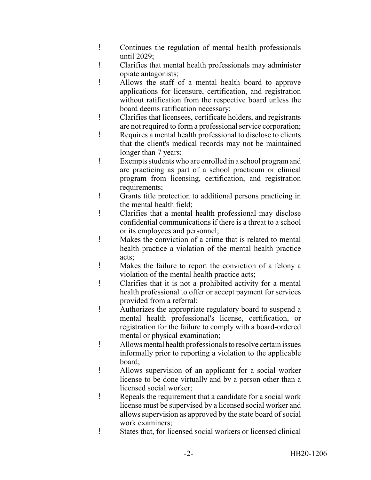- ! Continues the regulation of mental health professionals until 2029;
- ! Clarifies that mental health professionals may administer opiate antagonists;
- ! Allows the staff of a mental health board to approve applications for licensure, certification, and registration without ratification from the respective board unless the board deems ratification necessary;
- ! Clarifies that licensees, certificate holders, and registrants are not required to form a professional service corporation;
- ! Requires a mental health professional to disclose to clients that the client's medical records may not be maintained longer than 7 years;
- ! Exempts students who are enrolled in a school program and are practicing as part of a school practicum or clinical program from licensing, certification, and registration requirements;
- ! Grants title protection to additional persons practicing in the mental health field;
- ! Clarifies that a mental health professional may disclose confidential communications if there is a threat to a school or its employees and personnel;
- ! Makes the conviction of a crime that is related to mental health practice a violation of the mental health practice acts;
- ! Makes the failure to report the conviction of a felony a violation of the mental health practice acts;
- ! Clarifies that it is not a prohibited activity for a mental health professional to offer or accept payment for services provided from a referral;
- ! Authorizes the appropriate regulatory board to suspend a mental health professional's license, certification, or registration for the failure to comply with a board-ordered mental or physical examination;
- ! Allows mental health professionals to resolve certain issues informally prior to reporting a violation to the applicable board;
- ! Allows supervision of an applicant for a social worker license to be done virtually and by a person other than a licensed social worker;
- ! Repeals the requirement that a candidate for a social work license must be supervised by a licensed social worker and allows supervision as approved by the state board of social work examiners;
- ! States that, for licensed social workers or licensed clinical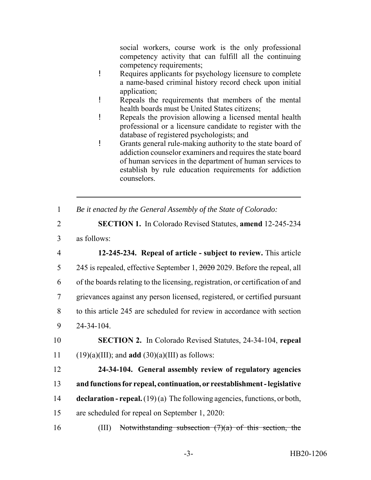social workers, course work is the only professional competency activity that can fulfill all the continuing competency requirements;

- ! Requires applicants for psychology licensure to complete a name-based criminal history record check upon initial application;
- ! Repeals the requirements that members of the mental health boards must be United States citizens;
- ! Repeals the provision allowing a licensed mental health professional or a licensure candidate to register with the database of registered psychologists; and
- ! Grants general rule-making authority to the state board of addiction counselor examiners and requires the state board of human services in the department of human services to establish by rule education requirements for addiction counselors.
- 1 *Be it enacted by the General Assembly of the State of Colorado:*
- 2 **SECTION 1.** In Colorado Revised Statutes, **amend** 12-245-234 3 as follows:
- 4 **12-245-234. Repeal of article subject to review.** This article 5 245 is repealed, effective September 1, 2020 2029. Before the repeal, all 6 of the boards relating to the licensing, registration, or certification of and 7 grievances against any person licensed, registered, or certified pursuant 8 to this article 245 are scheduled for review in accordance with section 9 24-34-104.
- 10 **SECTION 2.** In Colorado Revised Statutes, 24-34-104, **repeal** 11 (19)(a)(III); and **add** (30)(a)(III) as follows:
- 12 **24-34-104. General assembly review of regulatory agencies** 13 **and functions for repeal, continuation, or reestablishment - legislative** 14 **declaration - repeal.** (19) (a) The following agencies, functions, or both, 15 are scheduled for repeal on September 1, 2020:
- 16 (III) Notwithstanding subsection  $(7)(a)$  of this section, the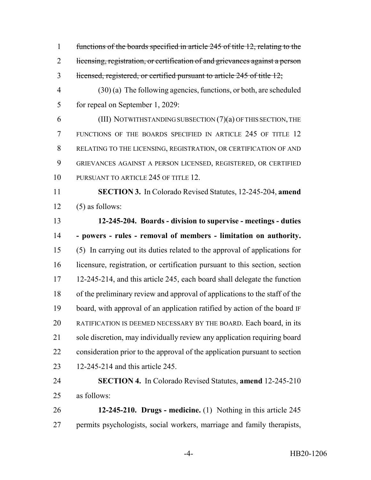functions of the boards specified in article 245 of title 12, relating to the 2 licensing, registration, or certification of and grievances against a person licensed, registered, or certified pursuant to article 245 of title 12;

 (30) (a) The following agencies, functions, or both, are scheduled for repeal on September 1, 2029:

 (III) NOTWITHSTANDING SUBSECTION (7)(a) OF THIS SECTION, THE FUNCTIONS OF THE BOARDS SPECIFIED IN ARTICLE 245 OF TITLE 12 RELATING TO THE LICENSING, REGISTRATION, OR CERTIFICATION OF AND GRIEVANCES AGAINST A PERSON LICENSED, REGISTERED, OR CERTIFIED 10 PURSUANT TO ARTICLE 245 OF TITLE 12.

 **SECTION 3.** In Colorado Revised Statutes, 12-245-204, **amend**  $12 \quad (5)$  as follows:

 **12-245-204. Boards - division to supervise - meetings - duties - powers - rules - removal of members - limitation on authority.** (5) In carrying out its duties related to the approval of applications for licensure, registration, or certification pursuant to this section, section 12-245-214, and this article 245, each board shall delegate the function of the preliminary review and approval of applications to the staff of the board, with approval of an application ratified by action of the board IF RATIFICATION IS DEEMED NECESSARY BY THE BOARD. Each board, in its sole discretion, may individually review any application requiring board consideration prior to the approval of the application pursuant to section 12-245-214 and this article 245.

# **SECTION 4.** In Colorado Revised Statutes, **amend** 12-245-210 as follows:

 **12-245-210. Drugs - medicine.** (1) Nothing in this article 245 permits psychologists, social workers, marriage and family therapists,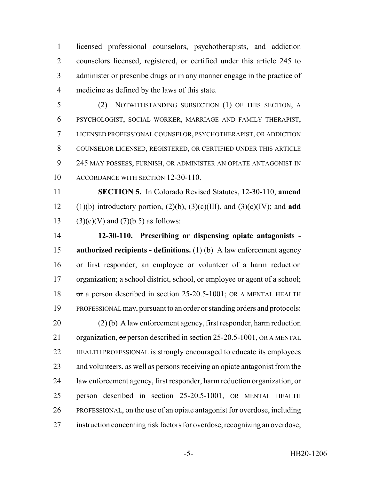licensed professional counselors, psychotherapists, and addiction counselors licensed, registered, or certified under this article 245 to administer or prescribe drugs or in any manner engage in the practice of medicine as defined by the laws of this state.

 (2) NOTWITHSTANDING SUBSECTION (1) OF THIS SECTION, A PSYCHOLOGIST, SOCIAL WORKER, MARRIAGE AND FAMILY THERAPIST, LICENSED PROFESSIONAL COUNSELOR, PSYCHOTHERAPIST, OR ADDICTION COUNSELOR LICENSED, REGISTERED, OR CERTIFIED UNDER THIS ARTICLE 245 MAY POSSESS, FURNISH, OR ADMINISTER AN OPIATE ANTAGONIST IN ACCORDANCE WITH SECTION 12-30-110.

 **SECTION 5.** In Colorado Revised Statutes, 12-30-110, **amend** 12 (1)(b) introductory portion,  $(2)(b)$ ,  $(3)(c)(III)$ , and  $(3)(c)(IV)$ ; and **add** 13 (3)(c)(V) and  $(7)$ (b.5) as follows:

 **12-30-110. Prescribing or dispensing opiate antagonists - authorized recipients - definitions.** (1) (b) A law enforcement agency or first responder; an employee or volunteer of a harm reduction organization; a school district, school, or employee or agent of a school; 18 or a person described in section 25-20.5-1001; OR A MENTAL HEALTH PROFESSIONAL may, pursuant to an order or standing orders and protocols: (2) (b) A law enforcement agency, first responder, harm reduction 21 organization, or person described in section 25-20.5-1001, OR A MENTAL 22 HEALTH PROFESSIONAL is strongly encouraged to educate its employees and volunteers, as well as persons receiving an opiate antagonist from the 24 law enforcement agency, first responder, harm reduction organization, or person described in section 25-20.5-1001, OR MENTAL HEALTH PROFESSIONAL, on the use of an opiate antagonist for overdose, including instruction concerning risk factors for overdose, recognizing an overdose,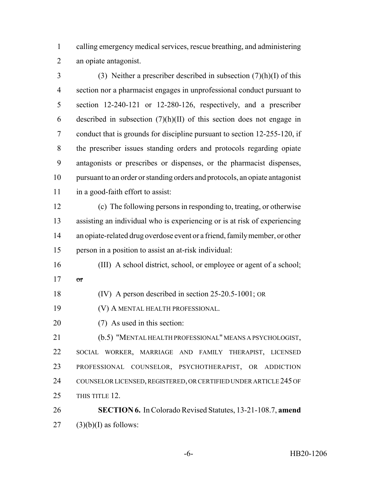calling emergency medical services, rescue breathing, and administering an opiate antagonist.

3 (3) Neither a prescriber described in subsection  $(7)(h)(I)$  of this section nor a pharmacist engages in unprofessional conduct pursuant to section 12-240-121 or 12-280-126, respectively, and a prescriber 6 described in subsection  $(7)(h)(II)$  of this section does not engage in conduct that is grounds for discipline pursuant to section 12-255-120, if the prescriber issues standing orders and protocols regarding opiate antagonists or prescribes or dispenses, or the pharmacist dispenses, pursuant to an order or standing orders and protocols, an opiate antagonist 11 in a good-faith effort to assist:

 (c) The following persons in responding to, treating, or otherwise assisting an individual who is experiencing or is at risk of experiencing an opiate-related drug overdose event or a friend, family member, or other person in a position to assist an at-risk individual:

- (III) A school district, school, or employee or agent of a school; or
- (IV) A person described in section 25-20.5-1001; OR
- (V) A MENTAL HEALTH PROFESSIONAL.
- (7) As used in this section:

 (b.5) "MENTAL HEALTH PROFESSIONAL" MEANS A PSYCHOLOGIST, SOCIAL WORKER, MARRIAGE AND FAMILY THERAPIST, LICENSED PROFESSIONAL COUNSELOR, PSYCHOTHERAPIST, OR ADDICTION 24 COUNSELOR LICENSED, REGISTERED, OR CERTIFIED UNDER ARTICLE 245 OF 25 THIS TITLE 12

 **SECTION 6.** In Colorado Revised Statutes, 13-21-108.7, **amend** (3)(b)(I) as follows: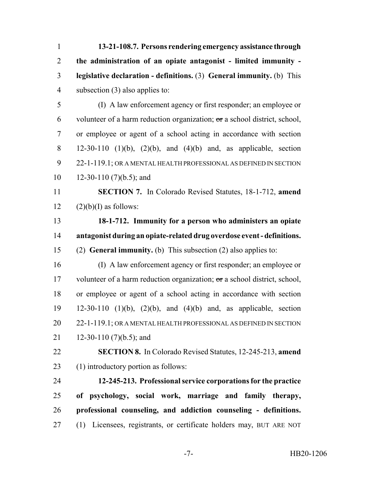**13-21-108.7. Persons rendering emergency assistance through the administration of an opiate antagonist - limited immunity - legislative declaration - definitions.** (3) **General immunity.** (b) This subsection (3) also applies to: (I) A law enforcement agency or first responder; an employee or 6 volunteer of a harm reduction organization;  $\sigma$ r a school district, school, or employee or agent of a school acting in accordance with section 12-30-110 (1)(b), (2)(b), and (4)(b) and, as applicable, section 22-1-119.1; OR A MENTAL HEALTH PROFESSIONAL AS DEFINED IN SECTION 12-30-110 (7)(b.5); and **SECTION 7.** In Colorado Revised Statutes, 18-1-712, **amend**  $(2)(b)(I)$  as follows: **18-1-712. Immunity for a person who administers an opiate antagonist during an opiate-related drug overdose event - definitions.** (2) **General immunity.** (b) This subsection (2) also applies to: (I) A law enforcement agency or first responder; an employee or 17 volunteer of a harm reduction organization; or a school district, school, or employee or agent of a school acting in accordance with section 12-30-110 (1)(b), (2)(b), and (4)(b) and, as applicable, section 20 22-1-119.1; OR A MENTAL HEALTH PROFESSIONAL AS DEFINED IN SECTION 21 12-30-110 (7)(b.5); and **SECTION 8.** In Colorado Revised Statutes, 12-245-213, **amend** (1) introductory portion as follows: **12-245-213. Professional service corporations for the practice of psychology, social work, marriage and family therapy, professional counseling, and addiction counseling - definitions.** (1) Licensees, registrants, or certificate holders may, BUT ARE NOT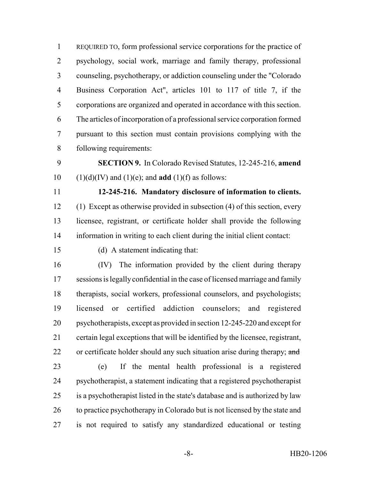REQUIRED TO, form professional service corporations for the practice of psychology, social work, marriage and family therapy, professional counseling, psychotherapy, or addiction counseling under the "Colorado Business Corporation Act", articles 101 to 117 of title 7, if the corporations are organized and operated in accordance with this section. The articles of incorporation of a professional service corporation formed pursuant to this section must contain provisions complying with the following requirements:

 **SECTION 9.** In Colorado Revised Statutes, 12-245-216, **amend** 10  $(1)(d)(IV)$  and  $(1)(e)$ ; and **add**  $(1)(f)$  as follows:

 **12-245-216. Mandatory disclosure of information to clients.** (1) Except as otherwise provided in subsection (4) of this section, every licensee, registrant, or certificate holder shall provide the following information in writing to each client during the initial client contact:

(d) A statement indicating that:

 (IV) The information provided by the client during therapy sessions is legally confidential in the case of licensed marriage and family therapists, social workers, professional counselors, and psychologists; licensed or certified addiction counselors; and registered psychotherapists, except as provided in section 12-245-220 and except for certain legal exceptions that will be identified by the licensee, registrant, 22 or certificate holder should any such situation arise during therapy; and

 (e) If the mental health professional is a registered psychotherapist, a statement indicating that a registered psychotherapist is a psychotherapist listed in the state's database and is authorized by law 26 to practice psychotherapy in Colorado but is not licensed by the state and is not required to satisfy any standardized educational or testing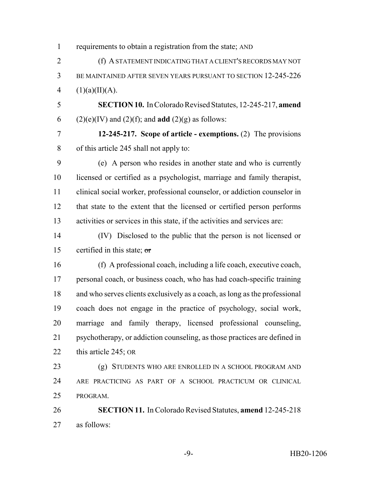| $\mathbf{1}$   | requirements to obtain a registration from the state; AND                  |
|----------------|----------------------------------------------------------------------------|
| $\overline{2}$ | (f) A STATEMENT INDICATING THAT A CLIENT'S RECORDS MAY NOT                 |
| 3              | BE MAINTAINED AFTER SEVEN YEARS PURSUANT TO SECTION 12-245-226             |
| $\overline{4}$ | (1)(a)(II)(A).                                                             |
| 5              | SECTION 10. In Colorado Revised Statutes, 12-245-217, amend                |
| 6              | $(2)(e)(IV)$ and $(2)(f)$ ; and <b>add</b> $(2)(g)$ as follows:            |
| 7              | 12-245-217. Scope of article - exemptions. (2) The provisions              |
| 8              | of this article 245 shall not apply to:                                    |
| 9              | (e) A person who resides in another state and who is currently             |
| 10             | licensed or certified as a psychologist, marriage and family therapist,    |
| 11             | clinical social worker, professional counselor, or addiction counselor in  |
| 12             | that state to the extent that the licensed or certified person performs    |
| 13             | activities or services in this state, if the activities and services are:  |
| 14             | (IV) Disclosed to the public that the person is not licensed or            |
| 15             | certified in this state; or                                                |
| 16             | (f) A professional coach, including a life coach, executive coach,         |
| 17             | personal coach, or business coach, who has had coach-specific training     |
| 18             | and who serves clients exclusively as a coach, as long as the professional |
| 19             | coach does not engage in the practice of psychology, social work,          |
| 20             | marriage and family therapy, licensed professional counseling,             |
| 21             | psychotherapy, or addiction counseling, as those practices are defined in  |
| 22             | this article 245; OR                                                       |
| 23             | (g) STUDENTS WHO ARE ENROLLED IN A SCHOOL PROGRAM AND                      |
| 24             | ARE PRACTICING AS PART OF A SCHOOL PRACTICUM OR CLINICAL                   |
| 25             | PROGRAM.                                                                   |
| 26             | <b>SECTION 11.</b> In Colorado Revised Statutes, amend 12-245-218          |
| 27             | as follows:                                                                |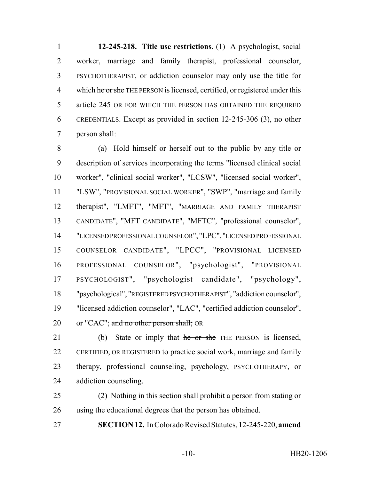**12-245-218. Title use restrictions.** (1) A psychologist, social worker, marriage and family therapist, professional counselor, PSYCHOTHERAPIST, or addiction counselor may only use the title for 4 which he or she THE PERSON is licensed, certified, or registered under this article 245 OR FOR WHICH THE PERSON HAS OBTAINED THE REQUIRED CREDENTIALS. Except as provided in section 12-245-306 (3), no other person shall:

 (a) Hold himself or herself out to the public by any title or description of services incorporating the terms "licensed clinical social worker", "clinical social worker", "LCSW", "licensed social worker", "LSW", "PROVISIONAL SOCIAL WORKER", "SWP", "marriage and family therapist", "LMFT", "MFT", "MARRIAGE AND FAMILY THERAPIST CANDIDATE", "MFT CANDIDATE", "MFTC", "professional counselor", "LICENSED PROFESSIONAL COUNSELOR", "LPC", "LICENSED PROFESSIONAL COUNSELOR CANDIDATE", "LPCC", "PROVISIONAL LICENSED PROFESSIONAL COUNSELOR", "psychologist", "PROVISIONAL PSYCHOLOGIST", "psychologist candidate", "psychology", "psychological", "REGISTERED PSYCHOTHERAPIST", "addiction counselor", "licensed addiction counselor", "LAC", "certified addiction counselor", 20 or "CAC"; and no other person shall; OR

21 (b) State or imply that he or she THE PERSON is licensed, CERTIFIED, OR REGISTERED to practice social work, marriage and family therapy, professional counseling, psychology, PSYCHOTHERAPY, or addiction counseling.

 (2) Nothing in this section shall prohibit a person from stating or using the educational degrees that the person has obtained.

**SECTION 12.** In Colorado Revised Statutes, 12-245-220, **amend**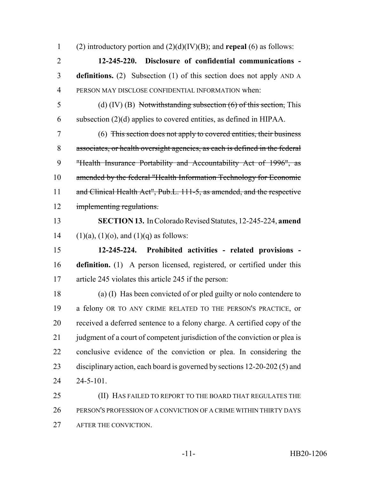(2) introductory portion and (2)(d)(IV)(B); and **repeal** (6) as follows:

 **12-245-220. Disclosure of confidential communications - definitions.** (2) Subsection (1) of this section does not apply AND A PERSON MAY DISCLOSE CONFIDENTIAL INFORMATION when:

 (d) (IV) (B) Notwithstanding subsection (6) of this section, This subsection (2)(d) applies to covered entities, as defined in HIPAA.

 (6) This section does not apply to covered entities, their business associates, or health oversight agencies, as each is defined in the federal "Health Insurance Portability and Accountability Act of 1996", as amended by the federal "Health Information Technology for Economic 11 and Clinical Health Act", Pub.L. 111-5, as amended, and the respective implementing regulations.

 **SECTION 13.** In Colorado Revised Statutes, 12-245-224, **amend** 14 (1)(a), (1)(o), and (1)(q) as follows:

 **12-245-224. Prohibited activities - related provisions - definition.** (1) A person licensed, registered, or certified under this article 245 violates this article 245 if the person:

 (a) (I) Has been convicted of or pled guilty or nolo contendere to a felony OR TO ANY CRIME RELATED TO THE PERSON'S PRACTICE, or received a deferred sentence to a felony charge. A certified copy of the 21 judgment of a court of competent jurisdiction of the conviction or plea is conclusive evidence of the conviction or plea. In considering the disciplinary action, each board is governed by sections 12-20-202 (5) and 24-5-101.

25 (II) HAS FAILED TO REPORT TO THE BOARD THAT REGULATES THE PERSON'S PROFESSION OF A CONVICTION OF A CRIME WITHIN THIRTY DAYS AFTER THE CONVICTION.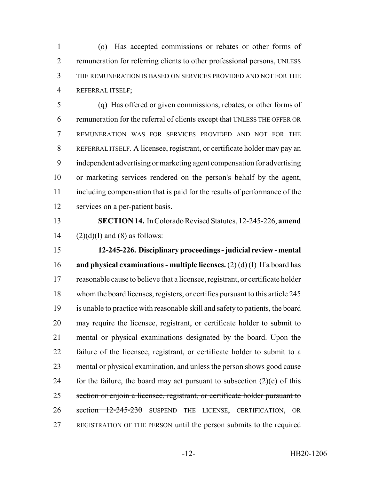(o) Has accepted commissions or rebates or other forms of remuneration for referring clients to other professional persons, UNLESS THE REMUNERATION IS BASED ON SERVICES PROVIDED AND NOT FOR THE REFERRAL ITSELF;

 (q) Has offered or given commissions, rebates, or other forms of 6 remuneration for the referral of clients except that UNLESS THE OFFER OR REMUNERATION WAS FOR SERVICES PROVIDED AND NOT FOR THE REFERRAL ITSELF. A licensee, registrant, or certificate holder may pay an independent advertising or marketing agent compensation for advertising or marketing services rendered on the person's behalf by the agent, including compensation that is paid for the results of performance of the services on a per-patient basis.

 **SECTION 14.** In Colorado Revised Statutes, 12-245-226, **amend** 14  $(2)(d)(I)$  and (8) as follows:

 **12-245-226. Disciplinary proceedings - judicial review - mental and physical examinations - multiple licenses.** (2) (d) (I) If a board has reasonable cause to believe that a licensee, registrant, or certificate holder whom the board licenses, registers, or certifies pursuant to this article 245 is unable to practice with reasonable skill and safety to patients, the board may require the licensee, registrant, or certificate holder to submit to mental or physical examinations designated by the board. Upon the failure of the licensee, registrant, or certificate holder to submit to a mental or physical examination, and unless the person shows good cause 24 for the failure, the board may act pursuant to subsection  $(2)(c)$  of this 25 section or enjoin a licensee, registrant, or certificate holder pursuant to 26 section 12-245-230 SUSPEND THE LICENSE, CERTIFICATION, OR REGISTRATION OF THE PERSON until the person submits to the required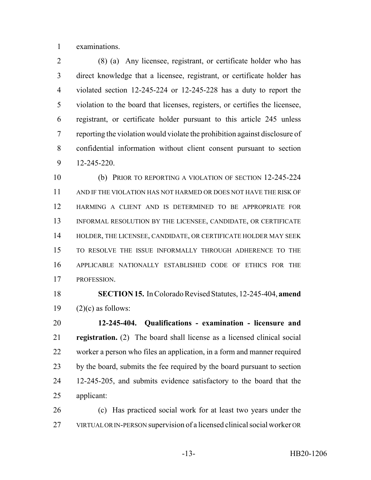examinations.

 (8) (a) Any licensee, registrant, or certificate holder who has direct knowledge that a licensee, registrant, or certificate holder has violated section 12-245-224 or 12-245-228 has a duty to report the violation to the board that licenses, registers, or certifies the licensee, registrant, or certificate holder pursuant to this article 245 unless reporting the violation would violate the prohibition against disclosure of confidential information without client consent pursuant to section 12-245-220.

 (b) PRIOR TO REPORTING A VIOLATION OF SECTION 12-245-224 AND IF THE VIOLATION HAS NOT HARMED OR DOES NOT HAVE THE RISK OF HARMING A CLIENT AND IS DETERMINED TO BE APPROPRIATE FOR INFORMAL RESOLUTION BY THE LICENSEE, CANDIDATE, OR CERTIFICATE HOLDER, THE LICENSEE, CANDIDATE, OR CERTIFICATE HOLDER MAY SEEK TO RESOLVE THE ISSUE INFORMALLY THROUGH ADHERENCE TO THE APPLICABLE NATIONALLY ESTABLISHED CODE OF ETHICS FOR THE PROFESSION.

 **SECTION 15.** In Colorado Revised Statutes, 12-245-404, **amend** 19  $(2)(c)$  as follows:

 **12-245-404. Qualifications - examination - licensure and registration.** (2) The board shall license as a licensed clinical social worker a person who files an application, in a form and manner required by the board, submits the fee required by the board pursuant to section 12-245-205, and submits evidence satisfactory to the board that the applicant:

 (c) Has practiced social work for at least two years under the VIRTUAL OR IN-PERSON supervision of a licensed clinical social worker OR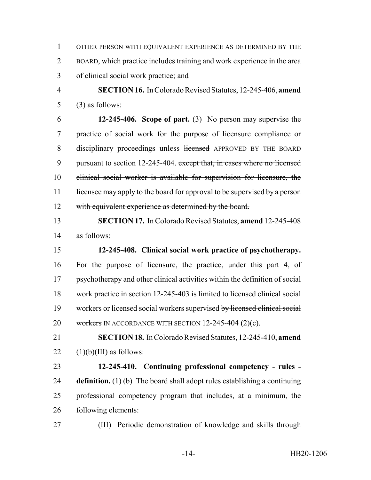OTHER PERSON WITH EQUIVALENT EXPERIENCE AS DETERMINED BY THE BOARD, which practice includes training and work experience in the area of clinical social work practice; and

 **SECTION 16.** In Colorado Revised Statutes, 12-245-406, **amend** (3) as follows:

 **12-245-406. Scope of part.** (3) No person may supervise the practice of social work for the purpose of licensure compliance or 8 disciplinary proceedings unless licensed APPROVED BY THE BOARD 9 pursuant to section 12-245-404. except that, in cases where no licensed clinical social worker is available for supervision for licensure, the 11 licensee may apply to the board for approval to be supervised by a person 12 with equivalent experience as determined by the board.

 **SECTION 17.** In Colorado Revised Statutes, **amend** 12-245-408 as follows:

 **12-245-408. Clinical social work practice of psychotherapy.** For the purpose of licensure, the practice, under this part 4, of psychotherapy and other clinical activities within the definition of social work practice in section 12-245-403 is limited to licensed clinical social workers or licensed social workers supervised by licensed clinical social 20 workers IN ACCORDANCE WITH SECTION 12-245-404 (2)(c).

 **SECTION 18.** In Colorado Revised Statutes, 12-245-410, **amend** 22  $(1)(b)(III)$  as follows:

 **12-245-410. Continuing professional competency - rules - definition.** (1) (b) The board shall adopt rules establishing a continuing professional competency program that includes, at a minimum, the following elements:

(III) Periodic demonstration of knowledge and skills through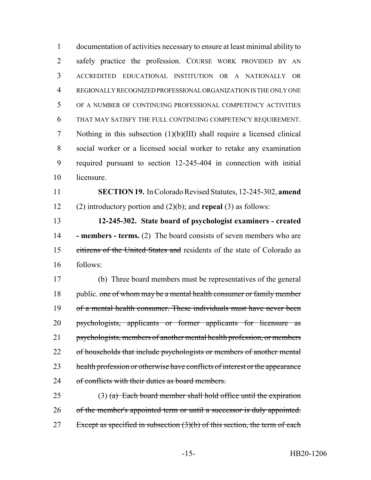documentation of activities necessary to ensure at least minimal ability to safely practice the profession. COURSE WORK PROVIDED BY AN ACCREDITED EDUCATIONAL INSTITUTION OR A NATIONALLY OR REGIONALLY RECOGNIZED PROFESSIONAL ORGANIZATION IS THE ONLY ONE OF A NUMBER OF CONTINUING PROFESSIONAL COMPETENCY ACTIVITIES THAT MAY SATISFY THE FULL CONTINUING COMPETENCY REQUIREMENT. Nothing in this subsection (1)(b)(III) shall require a licensed clinical social worker or a licensed social worker to retake any examination required pursuant to section 12-245-404 in connection with initial licensure.

 **SECTION 19.** In Colorado Revised Statutes, 12-245-302, **amend** (2) introductory portion and (2)(b); and **repeal** (3) as follows:

 **12-245-302. State board of psychologist examiners - created - members - terms.** (2) The board consists of seven members who are citizens of the United States and residents of the state of Colorado as follows:

 (b) Three board members must be representatives of the general 18 public. one of whom may be a mental health consumer or family member of a mental health consumer. These individuals must have never been psychologists, applicants or former applicants for licensure as psychologists, members of another mental health profession, or members 22 of households that include psychologists or members of another mental 23 health profession or otherwise have conflicts of interest or the appearance 24 of conflicts with their duties as board members.

25 (3) (a) Each board member shall hold office until the expiration 26 of the member's appointed term or until a successor is duly appointed. 27 Except as specified in subsection  $(3)(b)$  of this section, the term of each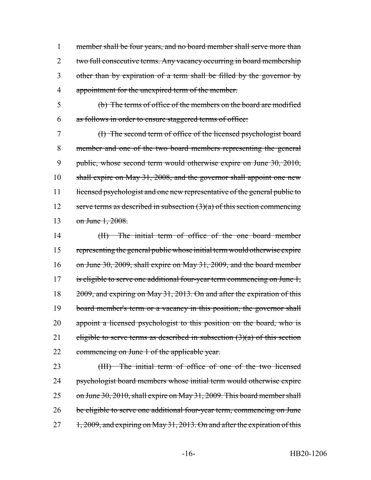member shall be four years, and no board member shall serve more than two full consecutive terms. Any vacancy occurring in board membership other than by expiration of a term shall be filled by the governor by appointment for the unexpired term of the member.

5 (b) The terms of office of the members on the board are modified 6 as follows in order to ensure staggered terms of office:

7 (I) The second term of office of the licensed psychologist board 8 member and one of the two board members representing the general 9 public, whose second term would otherwise expire on June 30, 2010, 10 shall expire on May 31, 2008, and the governor shall appoint one new 11 licensed psychologist and one new representative of the general public to 12 serve terms as described in subsection  $(3)(a)$  of this section commencing 13 on June 1, 2008.

14 (II) The initial term of office of the one board member 15 representing the general public whose initial term would otherwise expire 16 on June 30, 2009, shall expire on May 31, 2009, and the board member 17 is eligible to serve one additional four-year term commencing on June 1, 18 2009, and expiring on May 31, 2013. On and after the expiration of this 19 board member's term or a vacancy in this position, the governor shall 20 appoint a licensed psychologist to this position on the board, who is 21 eligible to serve terms as described in subsection  $(3)(a)$  of this section 22 commencing on June 1 of the applicable year.

23 (III) The initial term of office of one of the two licensed 24 psychologist board members whose initial term would otherwise expire 25 on June 30, 2010, shall expire on May 31, 2009. This board member shall 26 be eligible to serve one additional four-year term, commencing on June 27 1, 2009, and expiring on May 31, 2013. On and after the expiration of this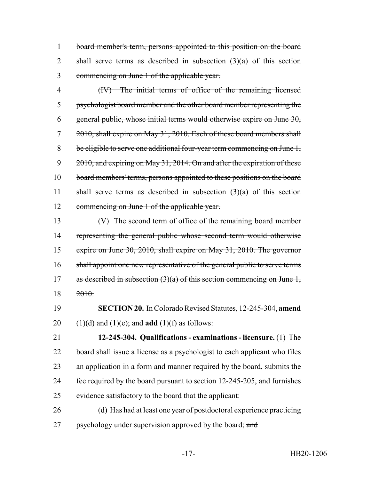board member's term, persons appointed to this position on the board 2 shall serve terms as described in subsection  $(3)(a)$  of this section commencing on June 1 of the applicable year.

 (IV) The initial terms of office of the remaining licensed psychologist board member and the other board member representing the 6 general public, whose initial terms would otherwise expire on June , 2010, shall expire on May 31, 2010. Each of these board members shall be eligible to serve one additional four-year term commencing on June 1, 9 2010, and expiring on May 31, 2014. On and after the expiration of these 10 board members' terms, persons appointed to these positions on the board 11 shall serve terms as described in subsection  $(3)(a)$  of this section commencing on June 1 of the applicable year.

 (V) The second term of office of the remaining board member representing the general public whose second term would otherwise expire on June 30, 2010, shall expire on May 31, 2010. The governor 16 shall appoint one new representative of the general public to serve terms 17 as described in subsection  $(3)(a)$  of this section commencing on June 1, 2010.

 **SECTION 20.** In Colorado Revised Statutes, 12-245-304, **amend** 20  $(1)(d)$  and  $(1)(e)$ ; and **add**  $(1)(f)$  as follows:

 **12-245-304. Qualifications - examinations - licensure.** (1) The board shall issue a license as a psychologist to each applicant who files an application in a form and manner required by the board, submits the fee required by the board pursuant to section 12-245-205, and furnishes evidence satisfactory to the board that the applicant:

 (d) Has had at least one year of postdoctoral experience practicing 27 psychology under supervision approved by the board; and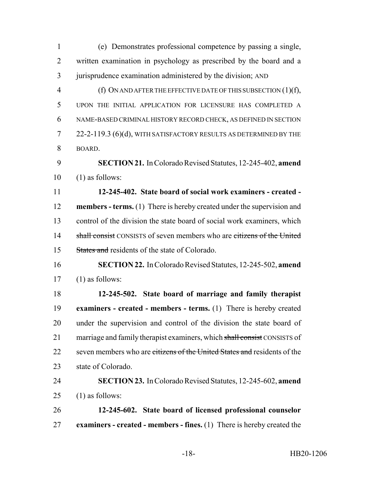| $\mathbf{1}$   | (e) Demonstrates professional competence by passing a single,                 |
|----------------|-------------------------------------------------------------------------------|
| $\overline{2}$ | written examination in psychology as prescribed by the board and a            |
| 3              | jurisprudence examination administered by the division; AND                   |
| $\overline{4}$ | (f) ON AND AFTER THE EFFECTIVE DATE OF THIS SUBSECTION $(1)(f)$ ,             |
| 5              | UPON THE INITIAL APPLICATION FOR LICENSURE HAS COMPLETED A                    |
| 6              | NAME-BASED CRIMINAL HISTORY RECORD CHECK, AS DEFINED IN SECTION               |
| 7              | 22-2-119.3 (6)(d), WITH SATISFACTORY RESULTS AS DETERMINED BY THE             |
| 8              | BOARD.                                                                        |
| 9              | <b>SECTION 21.</b> In Colorado Revised Statutes, 12-245-402, amend            |
| 10             | $(1)$ as follows:                                                             |
| 11             | 12-245-402. State board of social work examiners - created -                  |
| 12             | <b>members - terms.</b> (1) There is hereby created under the supervision and |
| 13             | control of the division the state board of social work examiners, which       |
| 14             | shall consist CONSISTS of seven members who are citizens of the United        |
| 15             | <b>States and residents of the state of Colorado.</b>                         |
| 16             | <b>SECTION 22.</b> In Colorado Revised Statutes, 12-245-502, amend            |
| 17             | $(1)$ as follows:                                                             |
| 18             | 12-245-502. State board of marriage and family therapist                      |
| 19             | examiners - created - members - terms. (1) There is hereby created            |
| 20             | under the supervision and control of the division the state board of          |
| 21             | marriage and family therapist examiners, which shall consist CONSISTS of      |
| 22             | seven members who are citizens of the United States and residents of the      |
| 23             | state of Colorado.                                                            |
| 24             | <b>SECTION 23.</b> In Colorado Revised Statutes, 12-245-602, amend            |
| 25             | $(1)$ as follows:                                                             |
| 26             | 12-245-602. State board of licensed professional counselor                    |
| 27             | examiners - created - members - fines. $(1)$ There is hereby created the      |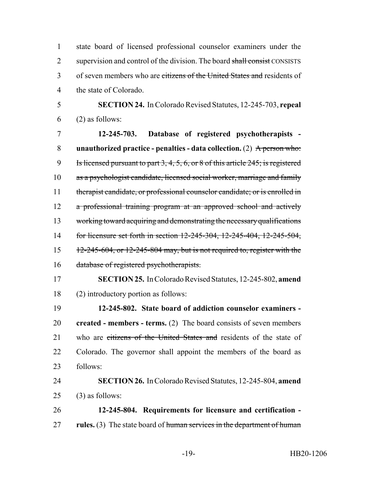state board of licensed professional counselor examiners under the 2 supervision and control of the division. The board shall consist CONSISTS 3 of seven members who are citizens of the United States and residents of the state of Colorado.

 **SECTION 24.** In Colorado Revised Statutes, 12-245-703, **repeal**  $6 \qquad (2)$  as follows:

 **12-245-703. Database of registered psychotherapists - unauthorized practice - penalties - data collection.** (2) A person who: Is licensed pursuant to part 3, 4, 5, 6, or 8 of this article 245; is registered as a psychologist candidate, licensed social worker, marriage and family 11 therapist candidate, or professional counselor candidate; or is enrolled in 12 a professional training program at an approved school and actively working toward acquiring and demonstrating the necessary qualifications 14 for licensure set forth in section 12-245-304, 12-245-404, 12-245-504, 12-245-604, or 12-245-804 may, but is not required to, register with the database of registered psychotherapists.

 **SECTION 25.** In Colorado Revised Statutes, 12-245-802, **amend** (2) introductory portion as follows:

 **12-245-802. State board of addiction counselor examiners - created - members - terms.** (2) The board consists of seven members 21 who are citizens of the United States and residents of the state of Colorado. The governor shall appoint the members of the board as follows:

 **SECTION 26.** In Colorado Revised Statutes, 12-245-804, **amend** (3) as follows:

 **12-245-804. Requirements for licensure and certification - rules.** (3) The state board of human services in the department of human